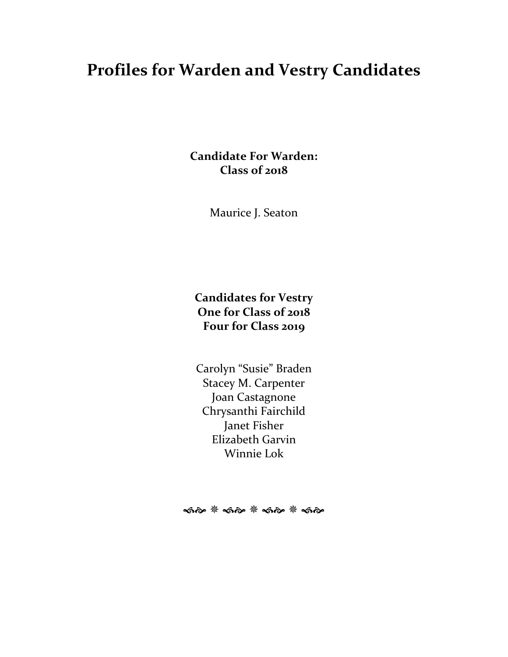# **Profiles for Warden and Vestry Candidates**

**Candidate For Warden: Class of 2018**

Maurice J. Seaton

# **Candidates for Vestry One for Class of 2018 Four for Class 2019**

Carolyn "Susie" Braden Stacey M. Carpenter Joan Castagnone Chrysanthi Fairchild Janet Fisher Elizabeth Garvin Winnie Lok

ର୍କାଚ <sup>କ୍ଷୁ</sup> କରି <sup>କୁ</sup> କରି <sup>କୁ</sup> କରି କ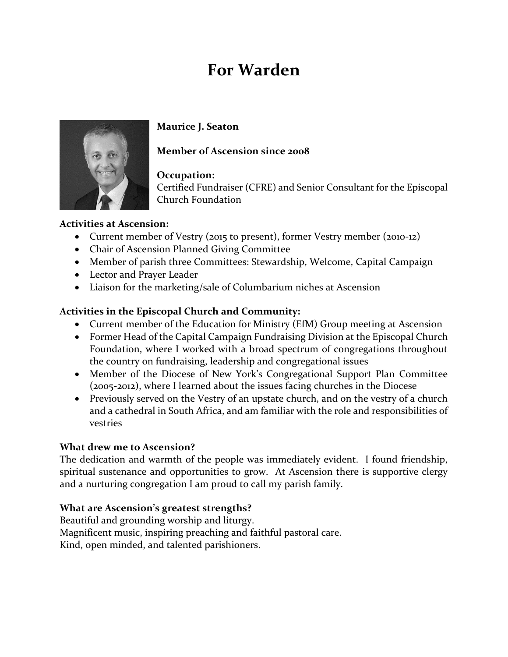# **For Warden**



# **Maurice J. Seaton**

# **Member of Ascension since 2008**

# **Occupation:**

Certified Fundraiser (CFRE) and Senior Consultant for the Episcopal Church Foundation

# **Activities at Ascension:**

- Current member of Vestry (2015 to present), former Vestry member (2010-12)
- Chair of Ascension Planned Giving Committee
- Member of parish three Committees: Stewardship, Welcome, Capital Campaign
- Lector and Prayer Leader
- Liaison for the marketing/sale of Columbarium niches at Ascension

# **Activities in the Episcopal Church and Community:**

- Current member of the Education for Ministry (EfM) Group meeting at Ascension
- Former Head of the Capital Campaign Fundraising Division at the Episcopal Church Foundation, where I worked with a broad spectrum of congregations throughout the country on fundraising, leadership and congregational issues
- Member of the Diocese of New York's Congregational Support Plan Committee (2005-2012), where I learned about the issues facing churches in the Diocese
- Previously served on the Vestry of an upstate church, and on the vestry of a church and a cathedral in South Africa, and am familiar with the role and responsibilities of vestries

# **What drew me to Ascension?**

The dedication and warmth of the people was immediately evident. I found friendship, spiritual sustenance and opportunities to grow. At Ascension there is supportive clergy and a nurturing congregation I am proud to call my parish family.

# **What are Ascension's greatest strengths?**

Beautiful and grounding worship and liturgy. Magnificent music, inspiring preaching and faithful pastoral care. Kind, open minded, and talented parishioners.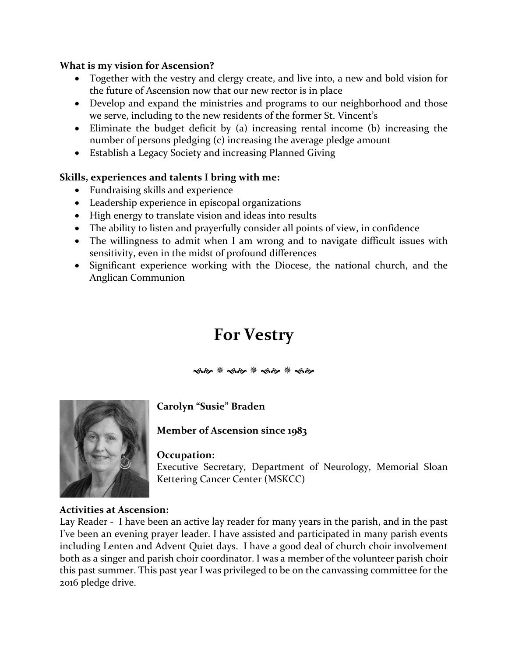#### **What is my vision for Ascension?**

- Together with the vestry and clergy create, and live into, a new and bold vision for the future of Ascension now that our new rector is in place
- Develop and expand the ministries and programs to our neighborhood and those we serve, including to the new residents of the former St. Vincent's
- Eliminate the budget deficit by (a) increasing rental income (b) increasing the number of persons pledging (c) increasing the average pledge amount
- Establish a Legacy Society and increasing Planned Giving

# **Skills, experiences and talents I bring with me:**

- Fundraising skills and experience
- Leadership experience in episcopal organizations
- High energy to translate vision and ideas into results
- The ability to listen and prayerfully consider all points of view, in confidence
- The willingness to admit when I am wrong and to navigate difficult issues with sensitivity, even in the midst of profound differences
- Significant experience working with the Diocese, the national church, and the Anglican Communion

# **For Vestry**

কক \* কক \* কক \* কক



# **Carolyn "Susie" Braden**

**Member of Ascension since 1983**

#### **Occupation:**

Executive Secretary, Department of Neurology, Memorial Sloan Kettering Cancer Center (MSKCC)

#### **Activities at Ascension:**

Lay Reader - I have been an active lay reader for many years in the parish, and in the past I've been an evening prayer leader. I have assisted and participated in many parish events including Lenten and Advent Quiet days. I have a good deal of church choir involvement both as a singer and parish choir coordinator. I was a member of the volunteer parish choir this past summer. This past year I was privileged to be on the canvassing committee for the 2016 pledge drive.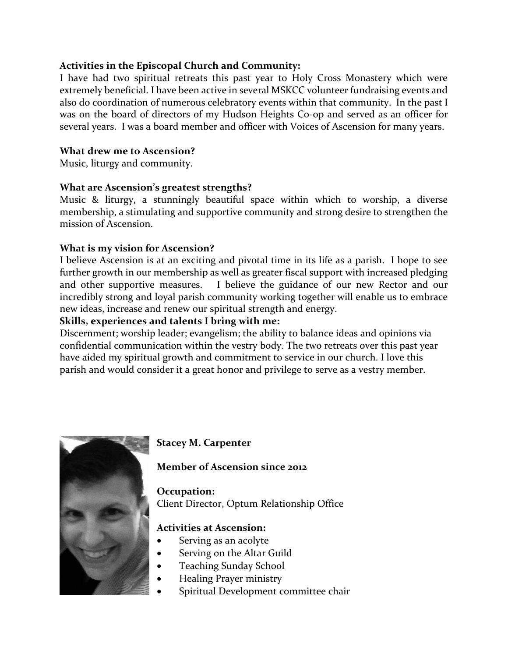#### **Activities in the Episcopal Church and Community:**

I have had two spiritual retreats this past year to Holy Cross Monastery which were extremely beneficial. I have been active in several MSKCC volunteer fundraising events and also do coordination of numerous celebratory events within that community. In the past I was on the board of directors of my Hudson Heights Co-op and served as an officer for several years. I was a board member and officer with Voices of Ascension for many years.

#### **What drew me to Ascension?**

Music, liturgy and community.

#### **What are Ascension's greatest strengths?**

Music & liturgy, a stunningly beautiful space within which to worship, a diverse membership, a stimulating and supportive community and strong desire to strengthen the mission of Ascension.

#### **What is my vision for Ascension?**

I believe Ascension is at an exciting and pivotal time in its life as a parish. I hope to see further growth in our membership as well as greater fiscal support with increased pledging and other supportive measures. I believe the guidance of our new Rector and our incredibly strong and loyal parish community working together will enable us to embrace new ideas, increase and renew our spiritual strength and energy.

#### **Skills, experiences and talents I bring with me:**

Discernment; worship leader; evangelism; the ability to balance ideas and opinions via confidential communication within the vestry body. The two retreats over this past year have aided my spiritual growth and commitment to service in our church. I love this parish and would consider it a great honor and privilege to serve as a vestry member.



# **Stacey M. Carpenter**

#### **Member of Ascension since 2012**

**Occupation:**  Client Director, Optum Relationship Office

#### **Activities at Ascension:**

- Serving as an acolyte
- Serving on the Altar Guild
- Teaching Sunday School
- Healing Prayer ministry
- Spiritual Development committee chair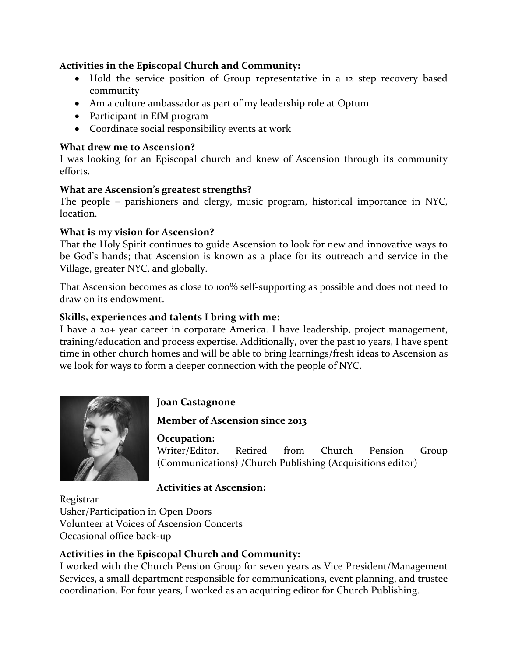# **Activities in the Episcopal Church and Community:**

- Hold the service position of Group representative in a 12 step recovery based community
- Am a culture ambassador as part of my leadership role at Optum
- Participant in EfM program
- Coordinate social responsibility events at work

#### **What drew me to Ascension?**

I was looking for an Episcopal church and knew of Ascension through its community efforts.

#### **What are Ascension's greatest strengths?**

The people – parishioners and clergy, music program, historical importance in NYC, location.

# **What is my vision for Ascension?**

That the Holy Spirit continues to guide Ascension to look for new and innovative ways to be God's hands; that Ascension is known as a place for its outreach and service in the Village, greater NYC, and globally.

That Ascension becomes as close to 100% self-supporting as possible and does not need to draw on its endowment.

# **Skills, experiences and talents I bring with me:**

I have a 20+ year career in corporate America. I have leadership, project management, training/education and process expertise. Additionally, over the past 10 years, I have spent time in other church homes and will be able to bring learnings/fresh ideas to Ascension as we look for ways to form a deeper connection with the people of NYC.



# **Joan Castagnone**

# **Member of Ascension since 2013**

**Occupation:** 

Writer/Editor. Retired from Church Pension Group (Communications) /Church Publishing (Acquisitions editor)

# **Activities at Ascension:**

Registrar Usher/Participation in Open Doors Volunteer at Voices of Ascension Concerts Occasional office back-up

# **Activities in the Episcopal Church and Community:**

I worked with the Church Pension Group for seven years as Vice President/Management Services, a small department responsible for communications, event planning, and trustee coordination. For four years, I worked as an acquiring editor for Church Publishing.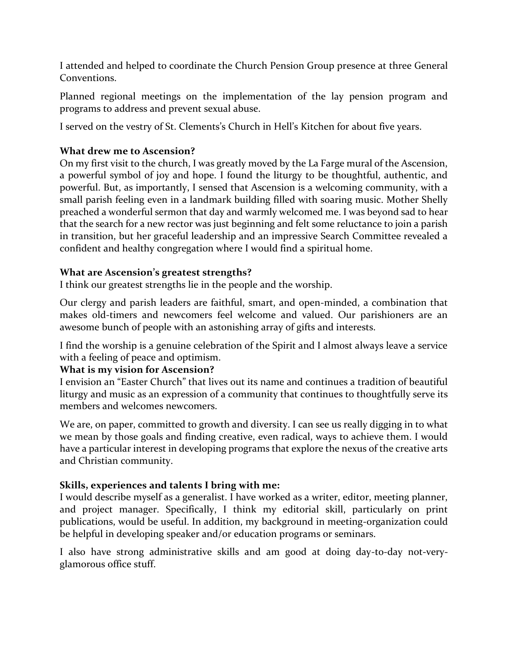I attended and helped to coordinate the Church Pension Group presence at three General Conventions.

Planned regional meetings on the implementation of the lay pension program and programs to address and prevent sexual abuse.

I served on the vestry of St. Clements's Church in Hell's Kitchen for about five years.

# **What drew me to Ascension?**

On my first visit to the church, I was greatly moved by the La Farge mural of the Ascension, a powerful symbol of joy and hope. I found the liturgy to be thoughtful, authentic, and powerful. But, as importantly, I sensed that Ascension is a welcoming community, with a small parish feeling even in a landmark building filled with soaring music. Mother Shelly preached a wonderful sermon that day and warmly welcomed me. I was beyond sad to hear that the search for a new rector was just beginning and felt some reluctance to join a parish in transition, but her graceful leadership and an impressive Search Committee revealed a confident and healthy congregation where I would find a spiritual home.

#### **What are Ascension's greatest strengths?**

I think our greatest strengths lie in the people and the worship.

Our clergy and parish leaders are faithful, smart, and open-minded, a combination that makes old-timers and newcomers feel welcome and valued. Our parishioners are an awesome bunch of people with an astonishing array of gifts and interests.

I find the worship is a genuine celebration of the Spirit and I almost always leave a service with a feeling of peace and optimism.

# **What is my vision for Ascension?**

I envision an "Easter Church" that lives out its name and continues a tradition of beautiful liturgy and music as an expression of a community that continues to thoughtfully serve its members and welcomes newcomers.

We are, on paper, committed to growth and diversity. I can see us really digging in to what we mean by those goals and finding creative, even radical, ways to achieve them. I would have a particular interest in developing programs that explore the nexus of the creative arts and Christian community.

#### **Skills, experiences and talents I bring with me:**

I would describe myself as a generalist. I have worked as a writer, editor, meeting planner, and project manager. Specifically, I think my editorial skill, particularly on print publications, would be useful. In addition, my background in meeting-organization could be helpful in developing speaker and/or education programs or seminars.

I also have strong administrative skills and am good at doing day-to-day not-veryglamorous office stuff.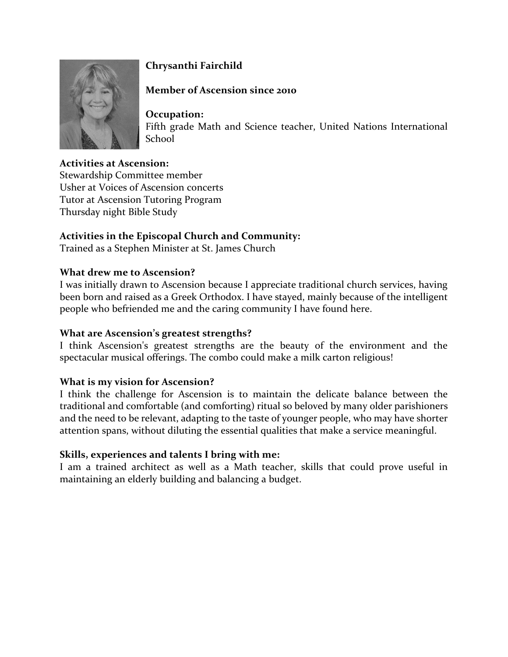

# **Chrysanthi Fairchild**

# **Member of Ascension since 2010**

**Occupation:**  Fifth grade Math and Science teacher, United Nations International School

# **Activities at Ascension:**

Stewardship Committee member Usher at Voices of Ascension concerts Tutor at Ascension Tutoring Program Thursday night Bible Study

# **Activities in the Episcopal Church and Community:**

Trained as a Stephen Minister at St. James Church

#### **What drew me to Ascension?**

I was initially drawn to Ascension because I appreciate traditional church services, having been born and raised as a Greek Orthodox. I have stayed, mainly because of the intelligent people who befriended me and the caring community I have found here.

#### **What are Ascension's greatest strengths?**

I think Ascension's greatest strengths are the beauty of the environment and the spectacular musical offerings. The combo could make a milk carton religious!

#### **What is my vision for Ascension?**

I think the challenge for Ascension is to maintain the delicate balance between the traditional and comfortable (and comforting) ritual so beloved by many older parishioners and the need to be relevant, adapting to the taste of younger people, who may have shorter attention spans, without diluting the essential qualities that make a service meaningful.

#### **Skills, experiences and talents I bring with me:**

I am a trained architect as well as a Math teacher, skills that could prove useful in maintaining an elderly building and balancing a budget.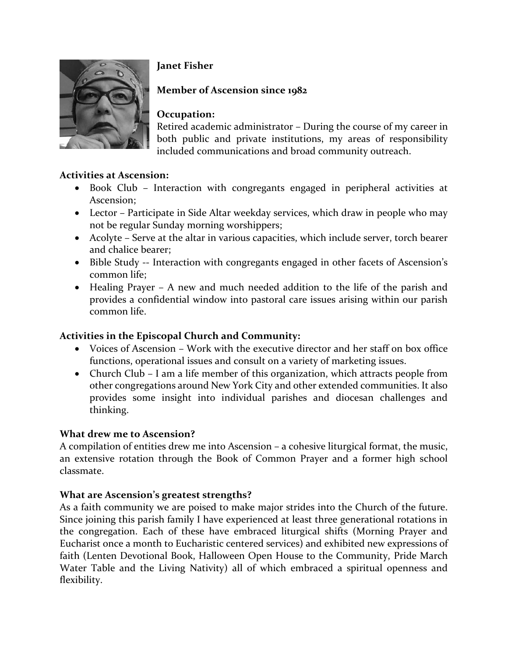

# **Janet Fisher**

# **Member of Ascension since 1982**

# **Occupation:**

Retired academic administrator – During the course of my career in both public and private institutions, my areas of responsibility included communications and broad community outreach.

# **Activities at Ascension:**

- Book Club Interaction with congregants engaged in peripheral activities at Ascension;
- Lector Participate in Side Altar weekday services, which draw in people who may not be regular Sunday morning worshippers;
- Acolyte Serve at the altar in various capacities, which include server, torch bearer and chalice bearer;
- Bible Study -- Interaction with congregants engaged in other facets of Ascension's common life;
- Healing Prayer A new and much needed addition to the life of the parish and provides a confidential window into pastoral care issues arising within our parish common life.

# **Activities in the Episcopal Church and Community:**

- Voices of Ascension Work with the executive director and her staff on box office functions, operational issues and consult on a variety of marketing issues.
- Church Club I am a life member of this organization, which attracts people from other congregations around New York City and other extended communities. It also provides some insight into individual parishes and diocesan challenges and thinking.

# **What drew me to Ascension?**

A compilation of entities drew me into Ascension – a cohesive liturgical format, the music, an extensive rotation through the Book of Common Prayer and a former high school classmate.

# **What are Ascension's greatest strengths?**

As a faith community we are poised to make major strides into the Church of the future. Since joining this parish family I have experienced at least three generational rotations in the congregation. Each of these have embraced liturgical shifts (Morning Prayer and Eucharist once a month to Eucharistic centered services) and exhibited new expressions of faith (Lenten Devotional Book, Halloween Open House to the Community, Pride March Water Table and the Living Nativity) all of which embraced a spiritual openness and flexibility.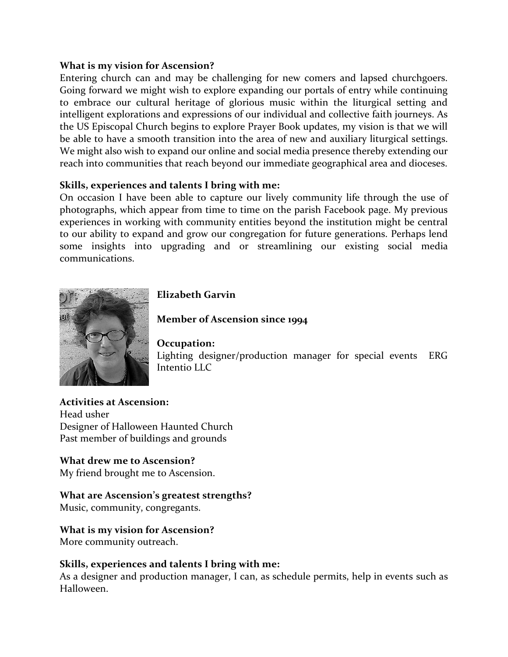#### **What is my vision for Ascension?**

Entering church can and may be challenging for new comers and lapsed churchgoers. Going forward we might wish to explore expanding our portals of entry while continuing to embrace our cultural heritage of glorious music within the liturgical setting and intelligent explorations and expressions of our individual and collective faith journeys. As the US Episcopal Church begins to explore Prayer Book updates, my vision is that we will be able to have a smooth transition into the area of new and auxiliary liturgical settings. We might also wish to expand our online and social media presence thereby extending our reach into communities that reach beyond our immediate geographical area and dioceses.

#### **Skills, experiences and talents I bring with me:**

On occasion I have been able to capture our lively community life through the use of photographs, which appear from time to time on the parish Facebook page. My previous experiences in working with community entities beyond the institution might be central to our ability to expand and grow our congregation for future generations. Perhaps lend some insights into upgrading and or streamlining our existing social media communications.



# **Elizabeth Garvin**

#### **Member of Ascension since 1994**

#### **Occupation:**

Lighting designer/production manager for special events ERG Intentio LLC

**Activities at Ascension:**  Head usher Designer of Halloween Haunted Church Past member of buildings and grounds

#### **What drew me to Ascension?**

My friend brought me to Ascension.

#### **What are Ascension's greatest strengths?**

Music, community, congregants.

#### **What is my vision for Ascension?**

More community outreach.

#### **Skills, experiences and talents I bring with me:**

As a designer and production manager, I can, as schedule permits, help in events such as Halloween.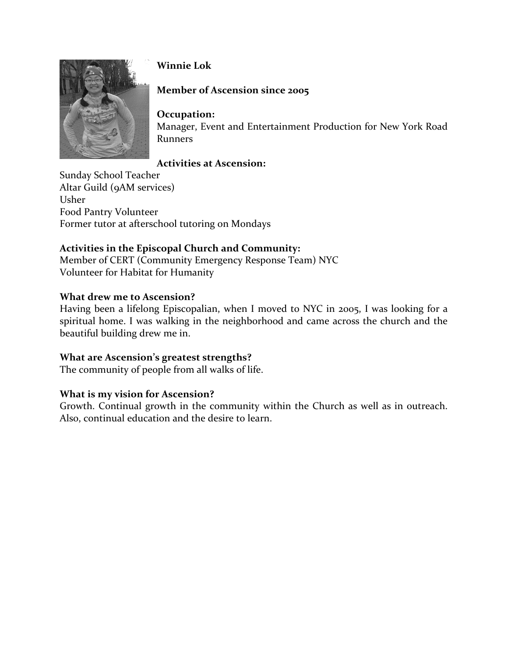

# **Winnie Lok**

# **Member of Ascension since 2005**

# **Occupation:**

Manager, Event and Entertainment Production for New York Road Runners

# **Activities at Ascension:**

Sunday School Teacher Altar Guild (9AM services) Usher Food Pantry Volunteer Former tutor at afterschool tutoring on Mondays

# **Activities in the Episcopal Church and Community:**

Member of CERT (Community Emergency Response Team) NYC Volunteer for Habitat for Humanity

# **What drew me to Ascension?**

Having been a lifelong Episcopalian, when I moved to NYC in 2005, I was looking for a spiritual home. I was walking in the neighborhood and came across the church and the beautiful building drew me in.

# **What are Ascension's greatest strengths?**

The community of people from all walks of life.

# **What is my vision for Ascension?**

Growth. Continual growth in the community within the Church as well as in outreach. Also, continual education and the desire to learn.